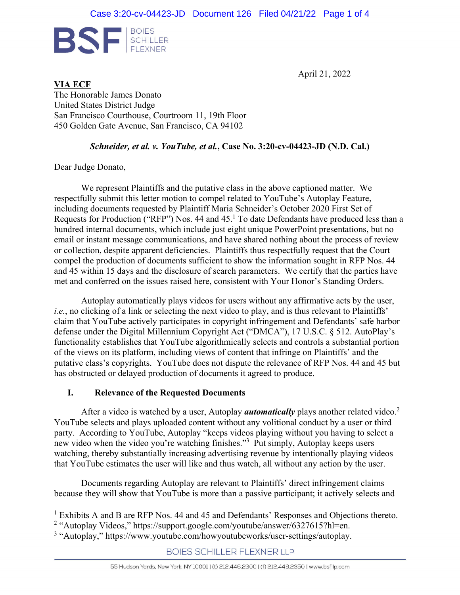

April 21, 2022

**VIA ECF** The Honorable James Donato United States District Judge San Francisco Courthouse, Courtroom 11, 19th Floor 450 Golden Gate Avenue, San Francisco, CA 94102

## *Schneider, et al. v. YouTube, et al.***, Case No. 3:20-cv-04423-JD (N.D. Cal.)**

Dear Judge Donato,

 $\overline{a}$ 

 We represent Plaintiffs and the putative class in the above captioned matter. We respectfully submit this letter motion to compel related to YouTube's Autoplay Feature, including documents requested by Plaintiff Maria Schneider's October 2020 First Set of Requests for Production ("RFP") Nos. 44 and  $45<sup>1</sup>$  To date Defendants have produced less than a hundred internal documents, which include just eight unique PowerPoint presentations, but no email or instant message communications, and have shared nothing about the process of review or collection, despite apparent deficiencies. Plaintiffs thus respectfully request that the Court compel the production of documents sufficient to show the information sought in RFP Nos. 44 and 45 within 15 days and the disclosure of search parameters. We certify that the parties have met and conferred on the issues raised here, consistent with Your Honor's Standing Orders.

Autoplay automatically plays videos for users without any affirmative acts by the user, *i.e.*, no clicking of a link or selecting the next video to play, and is thus relevant to Plaintiffs' claim that YouTube actively participates in copyright infringement and Defendants' safe harbor defense under the Digital Millennium Copyright Act ("DMCA"), 17 U.S.C. § 512. AutoPlay's functionality establishes that YouTube algorithmically selects and controls a substantial portion of the views on its platform, including views of content that infringe on Plaintiffs' and the putative class's copyrights. YouTube does not dispute the relevance of RFP Nos. 44 and 45 but has obstructed or delayed production of documents it agreed to produce.

## **I. Relevance of the Requested Documents**

After a video is watched by a user, Autoplay *automatically* plays another related video.<sup>2</sup> YouTube selects and plays uploaded content without any volitional conduct by a user or third party. According to YouTube, Autoplay "keeps videos playing without you having to select a new video when the video you're watching finishes."<sup>3</sup> Put simply, Autoplay keeps users watching, thereby substantially increasing advertising revenue by intentionally playing videos that YouTube estimates the user will like and thus watch, all without any action by the user.

Documents regarding Autoplay are relevant to Plaintiffs' direct infringement claims because they will show that YouTube is more than a passive participant; it actively selects and

**BOIES SCHILLER FLEXNER LLP** 

<sup>&</sup>lt;sup>1</sup> Exhibits A and B are RFP Nos. 44 and 45 and Defendants' Responses and Objections thereto.

<sup>&</sup>lt;sup>2</sup> "Autoplay Videos," https://support.google.com/youtube/answer/6327615?hl=en.

<sup>&</sup>lt;sup>3</sup> "Autoplay," https://www.youtube.com/howyoutubeworks/user-settings/autoplay.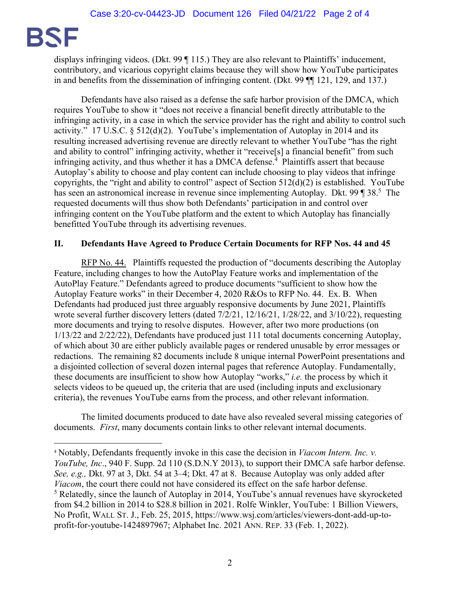

 $\overline{a}$ 

displays infringing videos. (Dkt. 99 ¶ 115.) They are also relevant to Plaintiffs' inducement, contributory, and vicarious copyright claims because they will show how YouTube participates in and benefits from the dissemination of infringing content. (Dkt. 99 ¶¶ 121, 129, and 137.)

Defendants have also raised as a defense the safe harbor provision of the DMCA, which requires YouTube to show it "does not receive a financial benefit directly attributable to the infringing activity, in a case in which the service provider has the right and ability to control such activity." 17 U.S.C. § 512(d)(2). YouTube's implementation of Autoplay in 2014 and its resulting increased advertising revenue are directly relevant to whether YouTube "has the right and ability to control" infringing activity, whether it "receive<sup>[s]</sup> a financial benefit" from such infringing activity, and thus whether it has a DMCA defense.<sup>4</sup> Plaintiffs assert that because Autoplay's ability to choose and play content can include choosing to play videos that infringe copyrights, the "right and ability to control" aspect of Section  $512(d)(2)$  is established. YouTube has seen an astronomical increase in revenue since implementing Autoplay. Dkt. 99 ¶ 38.<sup>5</sup> The requested documents will thus show both Defendants' participation in and control over infringing content on the YouTube platform and the extent to which Autoplay has financially benefitted YouTube through its advertising revenues.

## **II. Defendants Have Agreed to Produce Certain Documents for RFP Nos. 44 and 45**

RFP No. 44. Plaintiffs requested the production of "documents describing the Autoplay Feature, including changes to how the AutoPlay Feature works and implementation of the AutoPlay Feature." Defendants agreed to produce documents "sufficient to show how the Autoplay Feature works" in their December 4, 2020 R&Os to RFP No. 44. Ex. B. When Defendants had produced just three arguably responsive documents by June 2021, Plaintiffs wrote several further discovery letters (dated  $7/2/21$ ,  $1/2/16/21$ ,  $1/28/22$ , and  $3/10/22$ ), requesting more documents and trying to resolve disputes. However, after two more productions (on 1/13/22 and 2/22/22), Defendants have produced just 111 total documents concerning Autoplay, of which about 30 are either publicly available pages or rendered unusable by error messages or redactions. The remaining 82 documents include 8 unique internal PowerPoint presentations and a disjointed collection of several dozen internal pages that reference Autoplay. Fundamentally, these documents are insufficient to show how Autoplay "works," *i.e.* the process by which it selects videos to be queued up, the criteria that are used (including inputs and exclusionary criteria), the revenues YouTube earns from the process, and other relevant information.

The limited documents produced to date have also revealed several missing categories of documents. *First*, many documents contain links to other relevant internal documents.

<sup>4</sup> Notably, Defendants frequently invoke in this case the decision in *Viacom Intern. Inc. v. YouTube, Inc*., 940 F. Supp. 2d 110 (S.D.N.Y 2013), to support their DMCA safe harbor defense. *See, e.g.,* Dkt. 97 at 3, Dkt. 54 at 3–4; Dkt. 47 at 8. Because Autoplay was only added after *Viacom*, the court there could not have considered its effect on the safe harbor defense.  $<sup>5</sup>$  Relatedly, since the launch of Autoplay in 2014, YouTube's annual revenues have skyrocketed</sup> from \$4.2 billion in 2014 to \$28.8 billion in 2021. Rolfe Winkler, YouTube: 1 Billion Viewers, No Profit, WALL ST. J., Feb. 25, 2015, https://www.wsj.com/articles/viewers-dont-add-up-toprofit-for-youtube-1424897967; Alphabet Inc. 2021 ANN. REP. 33 (Feb. 1, 2022).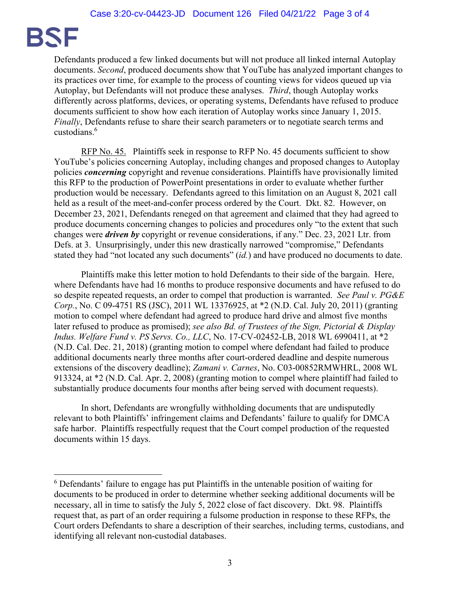## BSF

 $\overline{a}$ 

Defendants produced a few linked documents but will not produce all linked internal Autoplay documents. *Second*, produced documents show that YouTube has analyzed important changes to its practices over time, for example to the process of counting views for videos queued up via Autoplay, but Defendants will not produce these analyses. *Third*, though Autoplay works differently across platforms, devices, or operating systems, Defendants have refused to produce documents sufficient to show how each iteration of Autoplay works since January 1, 2015. *Finally*, Defendants refuse to share their search parameters or to negotiate search terms and custodians.6

RFP No. 45. Plaintiffs seek in response to RFP No. 45 documents sufficient to show YouTube's policies concerning Autoplay, including changes and proposed changes to Autoplay policies *concerning* copyright and revenue considerations. Plaintiffs have provisionally limited this RFP to the production of PowerPoint presentations in order to evaluate whether further production would be necessary. Defendants agreed to this limitation on an August 8, 2021 call held as a result of the meet-and-confer process ordered by the Court. Dkt. 82. However, on December 23, 2021, Defendants reneged on that agreement and claimed that they had agreed to produce documents concerning changes to policies and procedures only "to the extent that such changes were *driven by* copyright or revenue considerations, if any." Dec. 23, 2021 Ltr. from Defs. at 3. Unsurprisingly, under this new drastically narrowed "compromise," Defendants stated they had "not located any such documents" (*id.*) and have produced no documents to date.

Plaintiffs make this letter motion to hold Defendants to their side of the bargain. Here, where Defendants have had 16 months to produce responsive documents and have refused to do so despite repeated requests, an order to compel that production is warranted. *See Paul v. PG&E Corp.*, No. C 09-4751 RS (JSC), 2011 WL 13376925, at \*2 (N.D. Cal. July 20, 2011) (granting motion to compel where defendant had agreed to produce hard drive and almost five months later refused to produce as promised); *see also Bd. of Trustees of the Sign, Pictorial & Display Indus. Welfare Fund v. PS Servs. Co., LLC*, No. 17-CV-02452-LB, 2018 WL 6990411, at \*2 (N.D. Cal. Dec. 21, 2018) (granting motion to compel where defendant had failed to produce additional documents nearly three months after court-ordered deadline and despite numerous extensions of the discovery deadline); *Zamani v. Carnes*, No. C03-00852RMWHRL, 2008 WL 913324, at \*2 (N.D. Cal. Apr. 2, 2008) (granting motion to compel where plaintiff had failed to substantially produce documents four months after being served with document requests).

In short, Defendants are wrongfully withholding documents that are undisputedly relevant to both Plaintiffs' infringement claims and Defendants' failure to qualify for DMCA safe harbor. Plaintiffs respectfully request that the Court compel production of the requested documents within 15 days.

<sup>&</sup>lt;sup>6</sup> Defendants' failure to engage has put Plaintiffs in the untenable position of waiting for documents to be produced in order to determine whether seeking additional documents will be necessary, all in time to satisfy the July 5, 2022 close of fact discovery. Dkt. 98. Plaintiffs request that, as part of an order requiring a fulsome production in response to these RFPs, the Court orders Defendants to share a description of their searches, including terms, custodians, and identifying all relevant non-custodial databases.